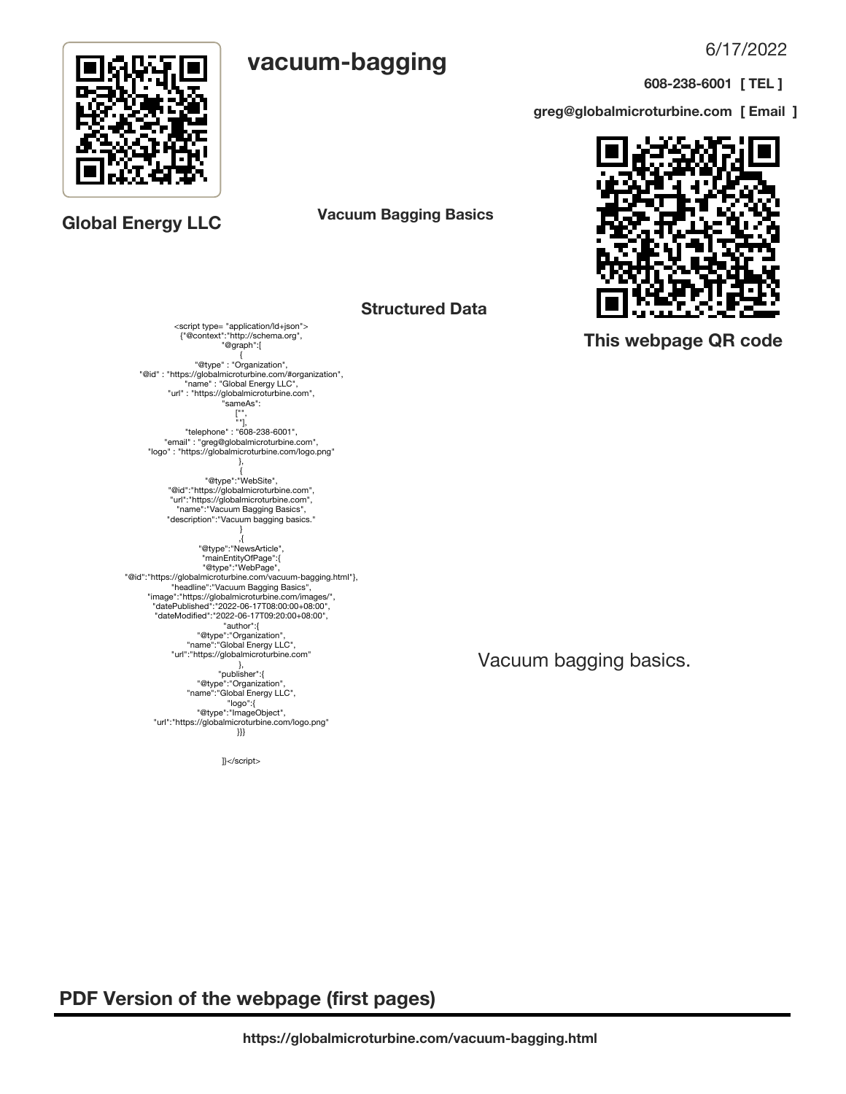6/17/2022

**608-238-6001 [ TEL ]**

**greg@globalmicroturbine.com [ Email ]**



 **PDF Version of the webpage (first pages)**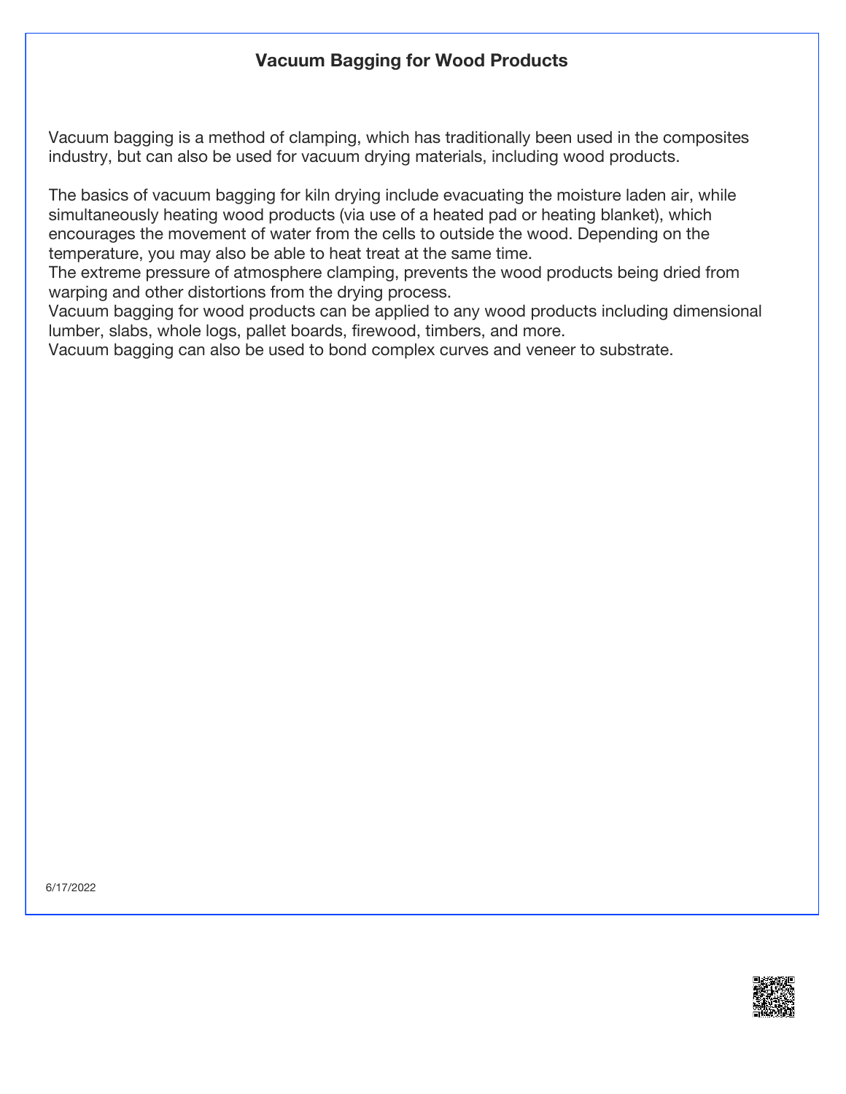# **Vacuum Bagging for Wood Products**

Vacuum bagging is a method of clamping, which has traditionally been used in the composites industry, but can also be used for vacuum drying materials, including wood products.

The basics of vacuum bagging for kiln drying include evacuating the moisture laden air, while simultaneously heating wood products (via use of a heated pad or heating blanket), which encourages the movement of water from the cells to outside the wood. Depending on the temperature, you may also be able to heat treat at the same time.

The extreme pressure of atmosphere clamping, prevents the wood products being dried from warping and other distortions from the drying process.

Vacuum bagging for wood products can be applied to any wood products including dimensional lumber, slabs, whole logs, pallet boards, firewood, timbers, and more.

Vacuum bagging can also be used to bond complex curves and veneer to substrate.

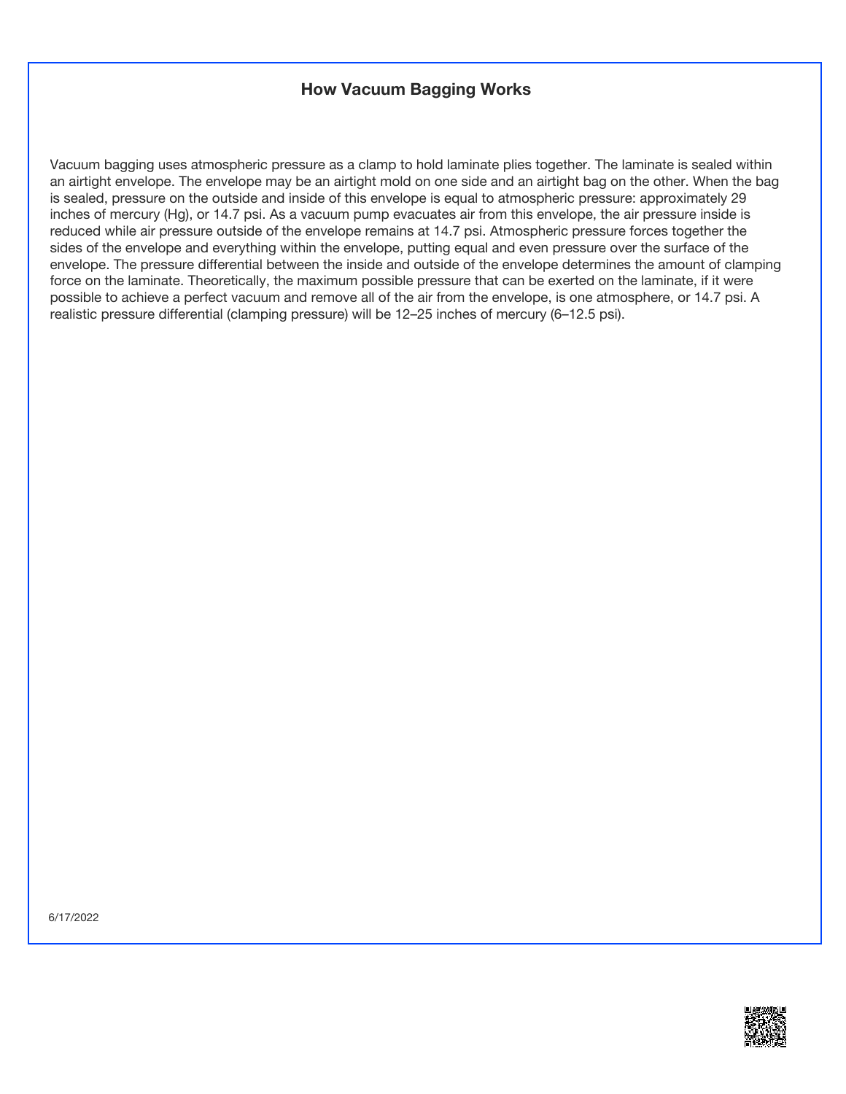## **How Vacuum Bagging Works**

Vacuum bagging uses atmospheric pressure as a clamp to hold laminate plies together. The laminate is sealed within an airtight envelope. The envelope may be an airtight mold on one side and an airtight bag on the other. When the bag is sealed, pressure on the outside and inside of this envelope is equal to atmospheric pressure: approximately 29 inches of mercury (Hg), or 14.7 psi. As a vacuum pump evacuates air from this envelope, the air pressure inside is reduced while air pressure outside of the envelope remains at 14.7 psi. Atmospheric pressure forces together the sides of the envelope and everything within the envelope, putting equal and even pressure over the surface of the envelope. The pressure differential between the inside and outside of the envelope determines the amount of clamping force on the laminate. Theoretically, the maximum possible pressure that can be exerted on the laminate, if it were possible to achieve a perfect vacuum and remove all of the air from the envelope, is one atmosphere, or 14.7 psi. A realistic pressure differential (clamping pressure) will be 12–25 inches of mercury (6–12.5 psi).

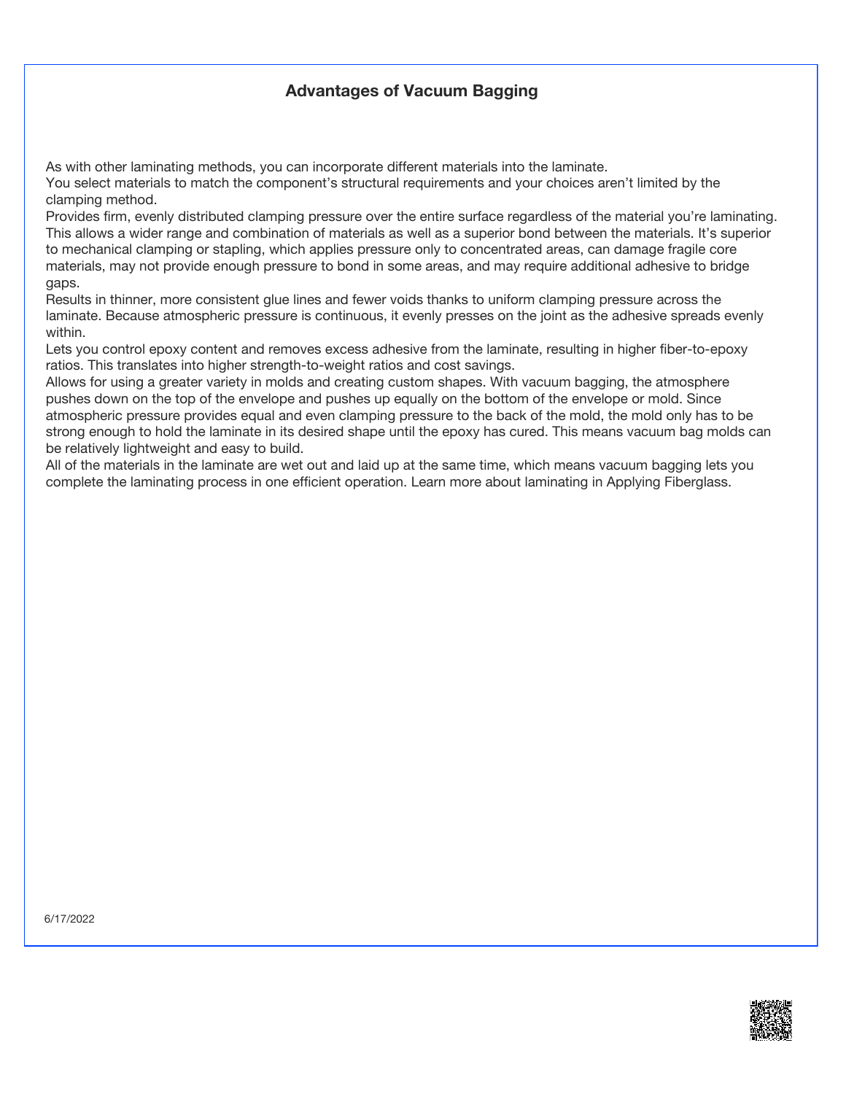## **Advantages of Vacuum Bagging**

As with other laminating methods, you can incorporate different materials into the laminate.

You select materials to match the component's structural requirements and your choices aren't limited by the clamping method.

Provides firm, evenly distributed clamping pressure over the entire surface regardless of the material you're laminating. This allows a wider range and combination of materials as well as a superior bond between the materials. It's superior to mechanical clamping or stapling, which applies pressure only to concentrated areas, can damage fragile core materials, may not provide enough pressure to bond in some areas, and may require additional adhesive to bridge gaps.

Results in thinner, more consistent glue lines and fewer voids thanks to uniform clamping pressure across the laminate. Because atmospheric pressure is continuous, it evenly presses on the joint as the adhesive spreads evenly within.

Lets you control epoxy content and removes excess adhesive from the laminate, resulting in higher fiber-to-epoxy ratios. This translates into higher strength-to-weight ratios and cost savings.

Allows for using a greater variety in molds and creating custom shapes. With vacuum bagging, the atmosphere pushes down on the top of the envelope and pushes up equally on the bottom of the envelope or mold. Since atmospheric pressure provides equal and even clamping pressure to the back of the mold, the mold only has to be strong enough to hold the laminate in its desired shape until the epoxy has cured. This means vacuum bag molds can be relatively lightweight and easy to build.

All of the materials in the laminate are wet out and laid up at the same time, which means vacuum bagging lets you complete the laminating process in one efficient operation. Learn more about laminating in Applying Fiberglass.

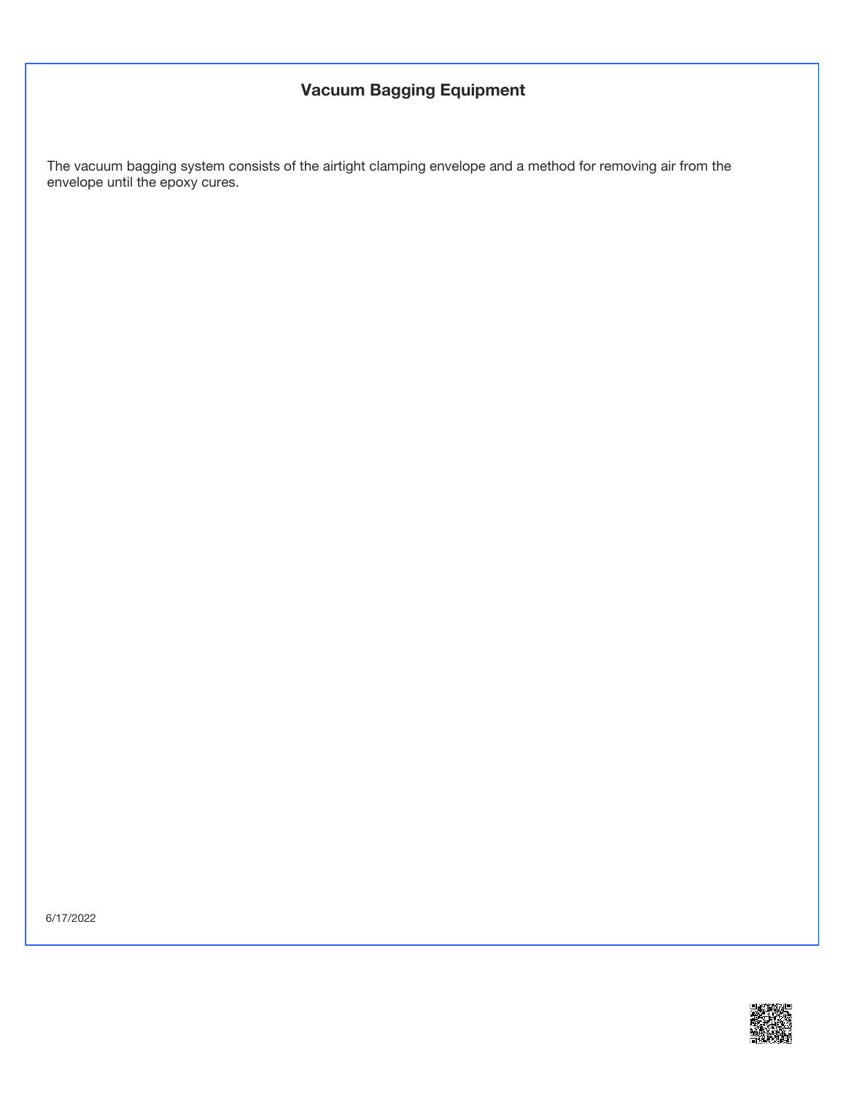# **Vacuum Bagging Equipment**

The vacuum bagging system consists of the airtight clamping envelope and a method for removing air from the envelope until the epoxy cures.

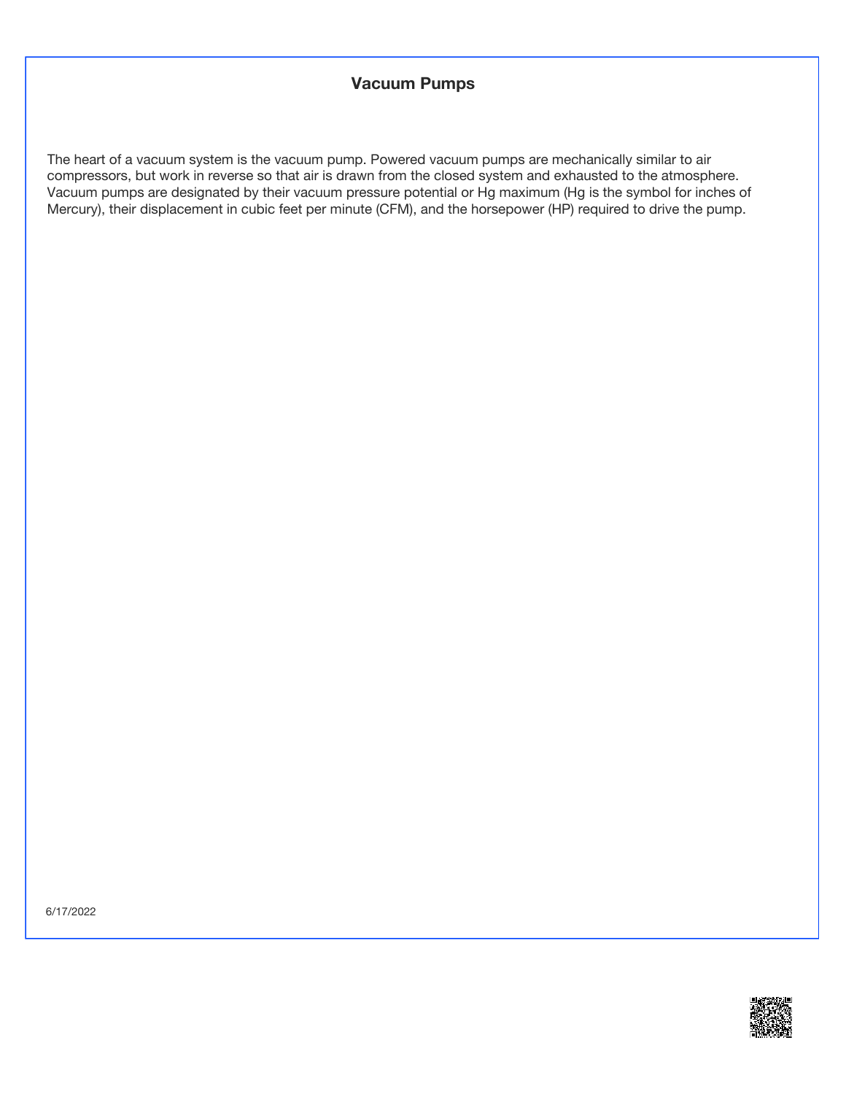#### **Vacuum Pumps**

The heart of a vacuum system is the vacuum pump. Powered vacuum pumps are mechanically similar to air compressors, but work in reverse so that air is drawn from the closed system and exhausted to the atmosphere. Vacuum pumps are designated by their vacuum pressure potential or Hg maximum (Hg is the symbol for inches of Mercury), their displacement in cubic feet per minute (CFM), and the horsepower (HP) required to drive the pump.

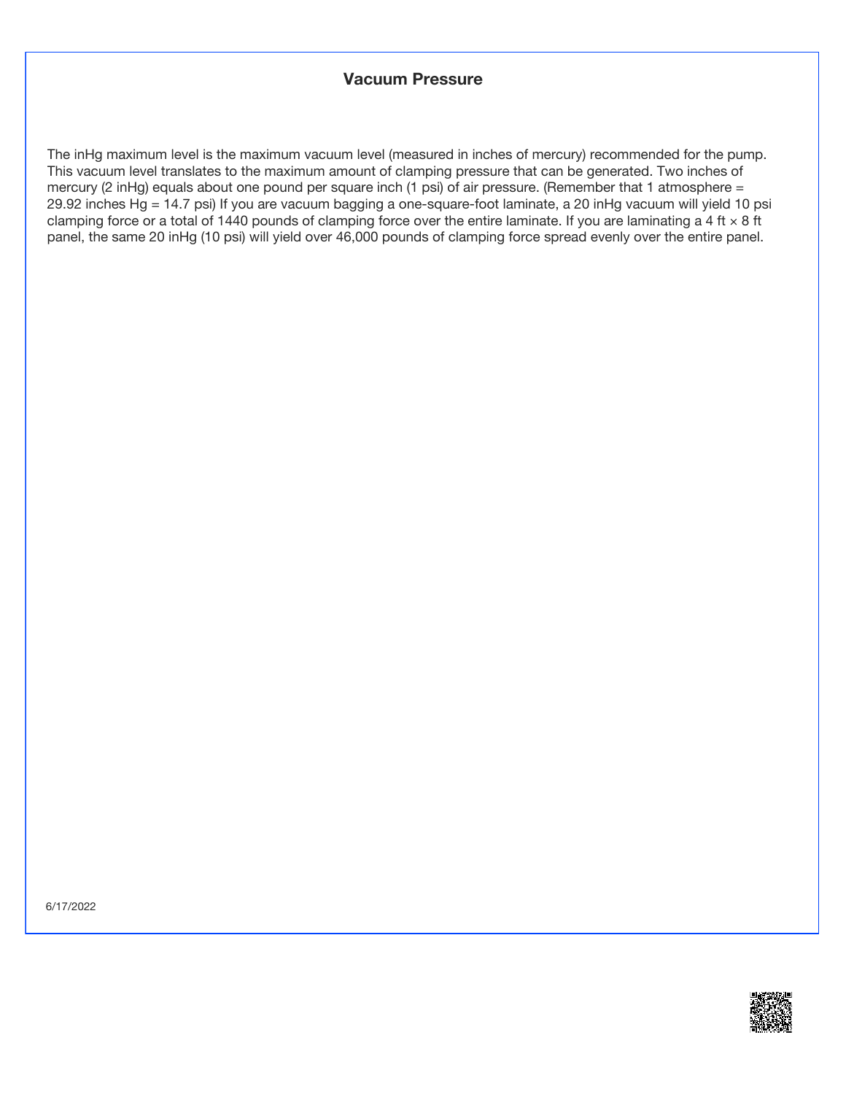#### **Vacuum Pressure**

The inHg maximum level is the maximum vacuum level (measured in inches of mercury) recommended for the pump. This vacuum level translates to the maximum amount of clamping pressure that can be generated. Two inches of mercury (2 inHg) equals about one pound per square inch (1 psi) of air pressure. (Remember that 1 atmosphere = 29.92 inches Hg = 14.7 psi) If you are vacuum bagging a one-square-foot laminate, a 20 inHg vacuum will yield 10 psi clamping force or a total of 1440 pounds of clamping force over the entire laminate. If you are laminating a 4 ft  $\times$  8 ft panel, the same 20 inHg (10 psi) will yield over 46,000 pounds of clamping force spread evenly over the entire panel.

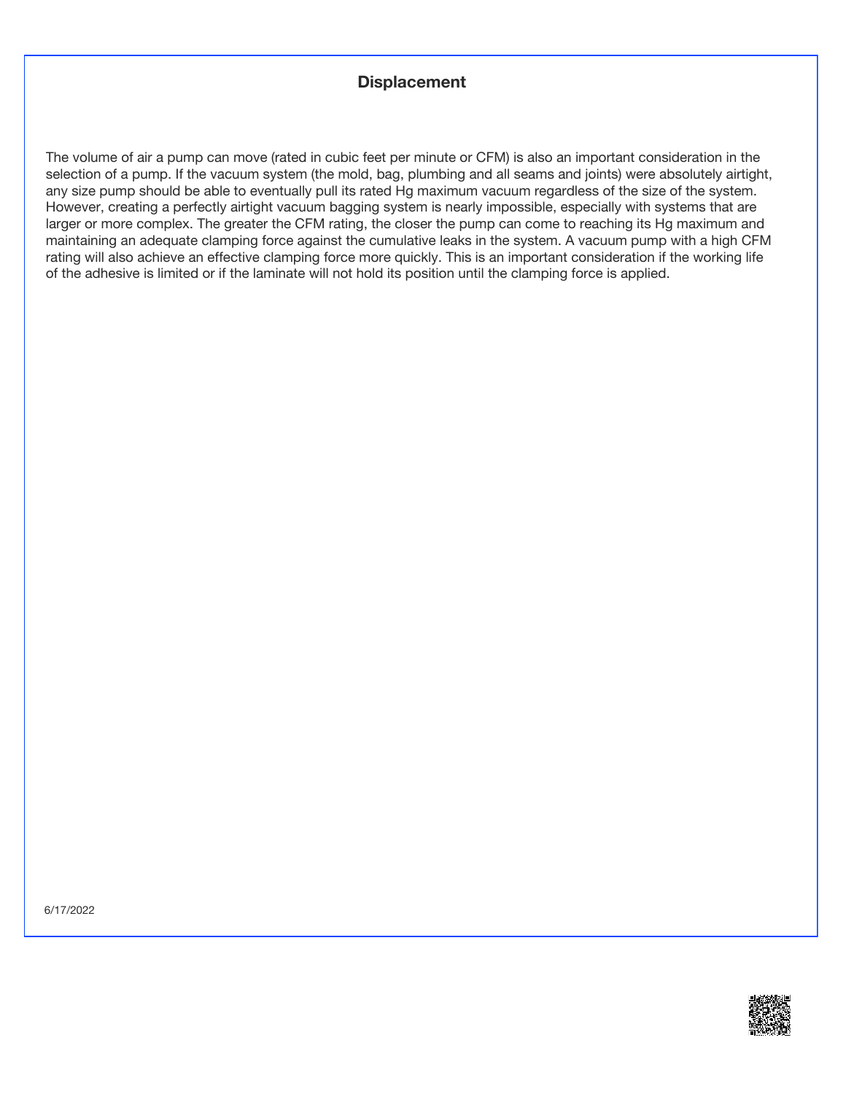## **Displacement**

The volume of air a pump can move (rated in cubic feet per minute or CFM) is also an important consideration in the selection of a pump. If the vacuum system (the mold, bag, plumbing and all seams and joints) were absolutely airtight, any size pump should be able to eventually pull its rated Hg maximum vacuum regardless of the size of the system. However, creating a perfectly airtight vacuum bagging system is nearly impossible, especially with systems that are larger or more complex. The greater the CFM rating, the closer the pump can come to reaching its Hg maximum and maintaining an adequate clamping force against the cumulative leaks in the system. A vacuum pump with a high CFM rating will also achieve an effective clamping force more quickly. This is an important consideration if the working life of the adhesive is limited or if the laminate will not hold its position until the clamping force is applied.

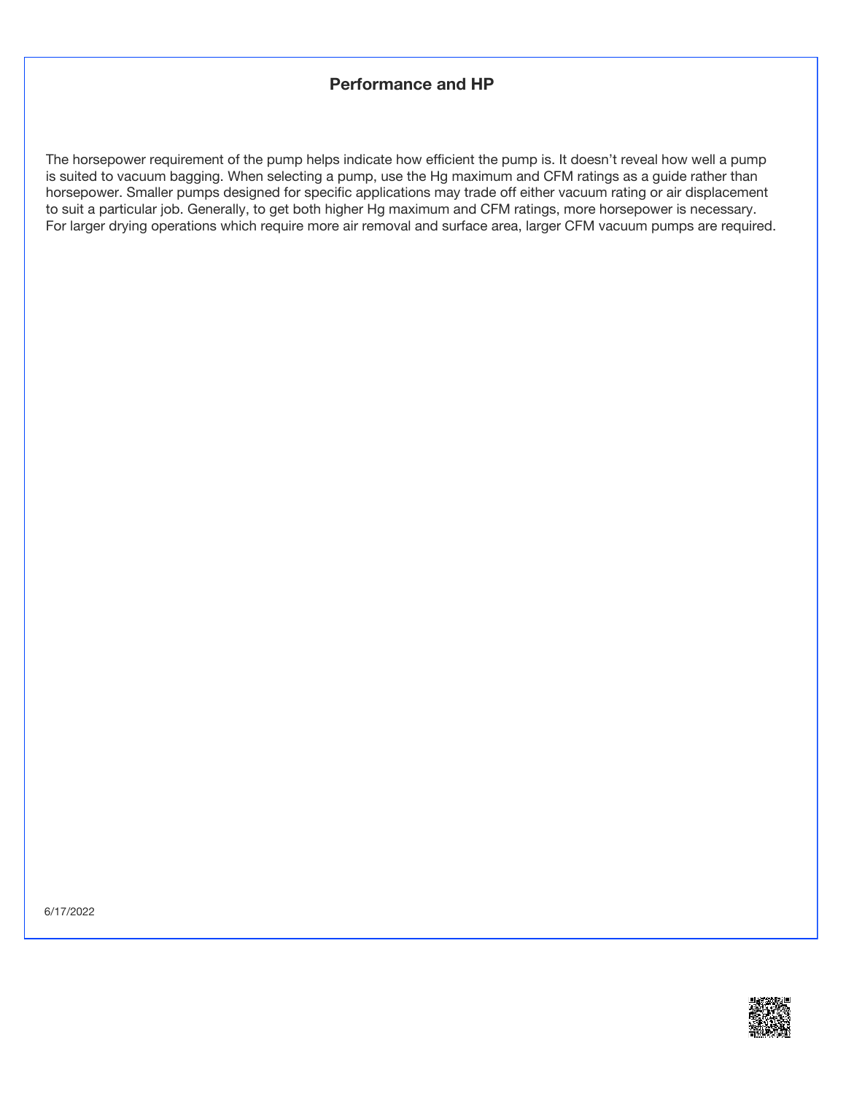## **Performance and HP**

The horsepower requirement of the pump helps indicate how efficient the pump is. It doesn't reveal how well a pump is suited to vacuum bagging. When selecting a pump, use the Hg maximum and CFM ratings as a guide rather than horsepower. Smaller pumps designed for specific applications may trade off either vacuum rating or air displacement to suit a particular job. Generally, to get both higher Hg maximum and CFM ratings, more horsepower is necessary. For larger drying operations which require more air removal and surface area, larger CFM vacuum pumps are required.

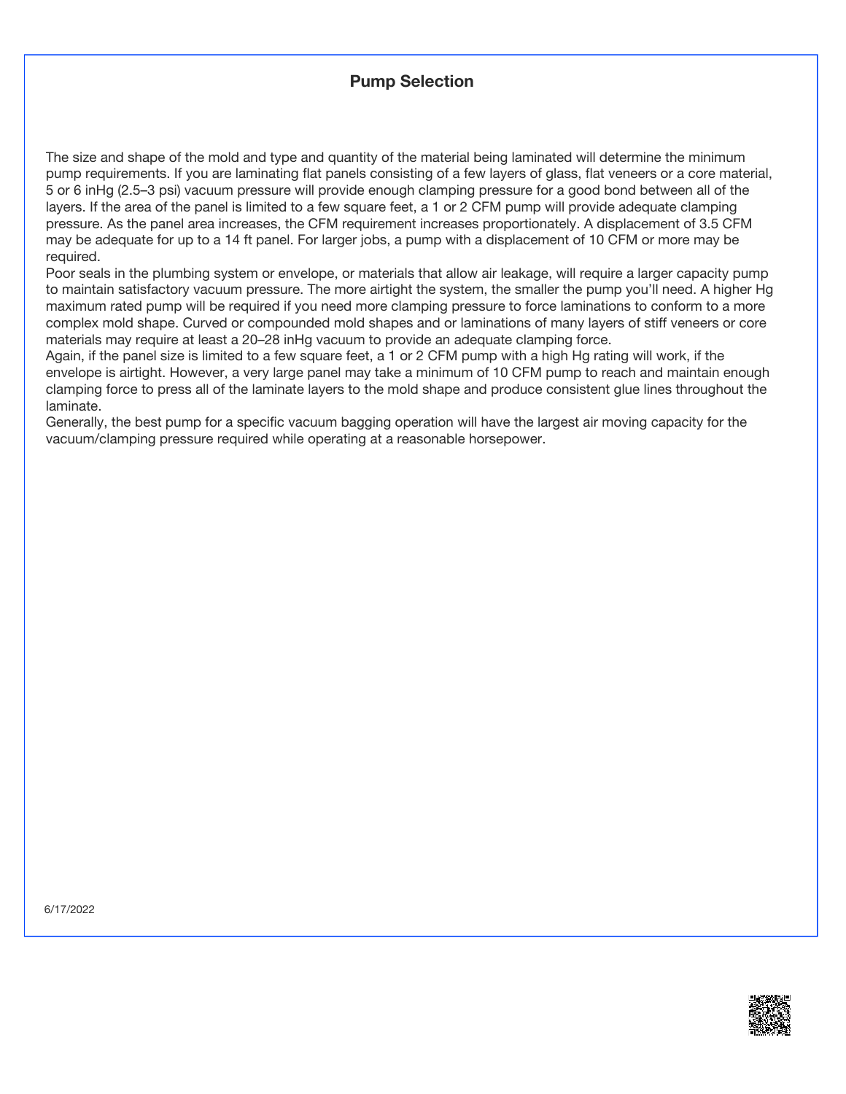## **Pump Selection**

The size and shape of the mold and type and quantity of the material being laminated will determine the minimum pump requirements. If you are laminating flat panels consisting of a few layers of glass, flat veneers or a core material, 5 or 6 inHg (2.5–3 psi) vacuum pressure will provide enough clamping pressure for a good bond between all of the layers. If the area of the panel is limited to a few square feet, a 1 or 2 CFM pump will provide adequate clamping pressure. As the panel area increases, the CFM requirement increases proportionately. A displacement of 3.5 CFM may be adequate for up to a 14 ft panel. For larger jobs, a pump with a displacement of 10 CFM or more may be required.

Poor seals in the plumbing system or envelope, or materials that allow air leakage, will require a larger capacity pump to maintain satisfactory vacuum pressure. The more airtight the system, the smaller the pump you'll need. A higher Hg maximum rated pump will be required if you need more clamping pressure to force laminations to conform to a more complex mold shape. Curved or compounded mold shapes and or laminations of many layers of stiff veneers or core materials may require at least a 20–28 inHg vacuum to provide an adequate clamping force.

Again, if the panel size is limited to a few square feet, a 1 or 2 CFM pump with a high Hg rating will work, if the envelope is airtight. However, a very large panel may take a minimum of 10 CFM pump to reach and maintain enough clamping force to press all of the laminate layers to the mold shape and produce consistent glue lines throughout the laminate.

Generally, the best pump for a specific vacuum bagging operation will have the largest air moving capacity for the vacuum/clamping pressure required while operating at a reasonable horsepower.

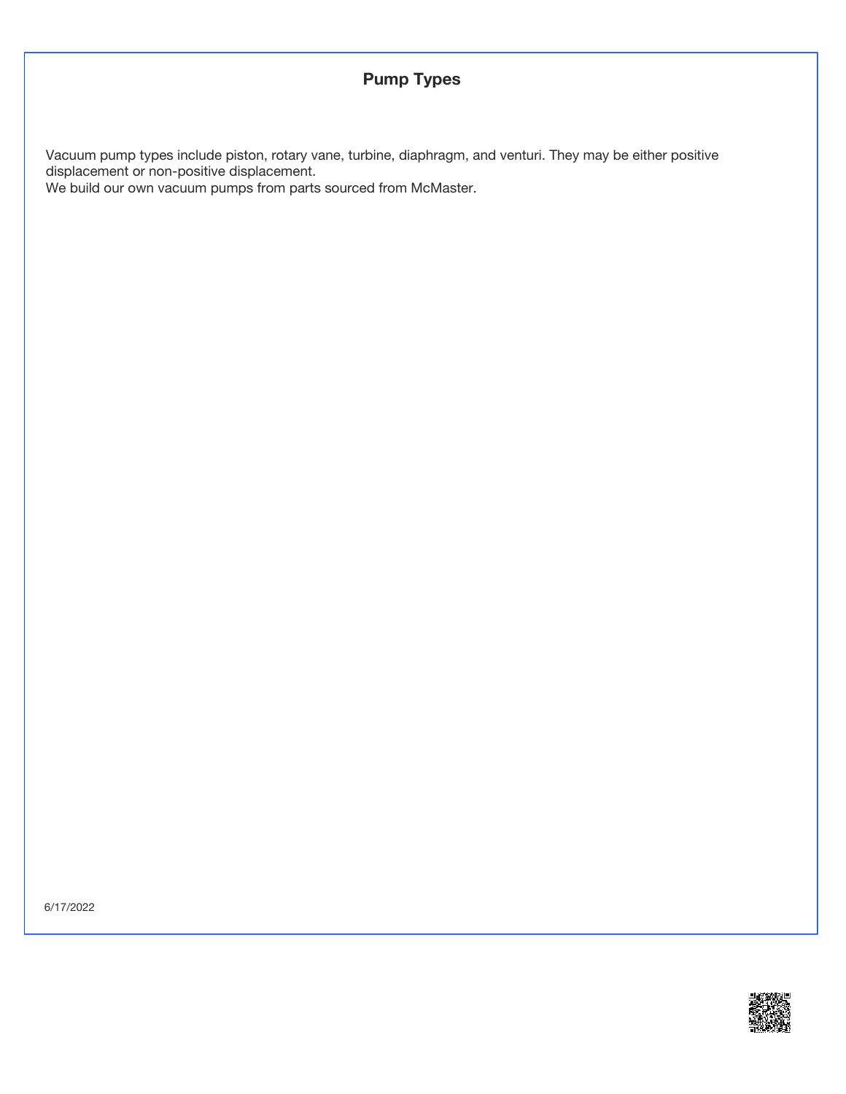# **Pump Types**

Vacuum pump types include piston, rotary vane, turbine, diaphragm, and venturi. They may be either positive displacement or non-positive displacement.

We build our own vacuum pumps from parts sourced from McMaster.

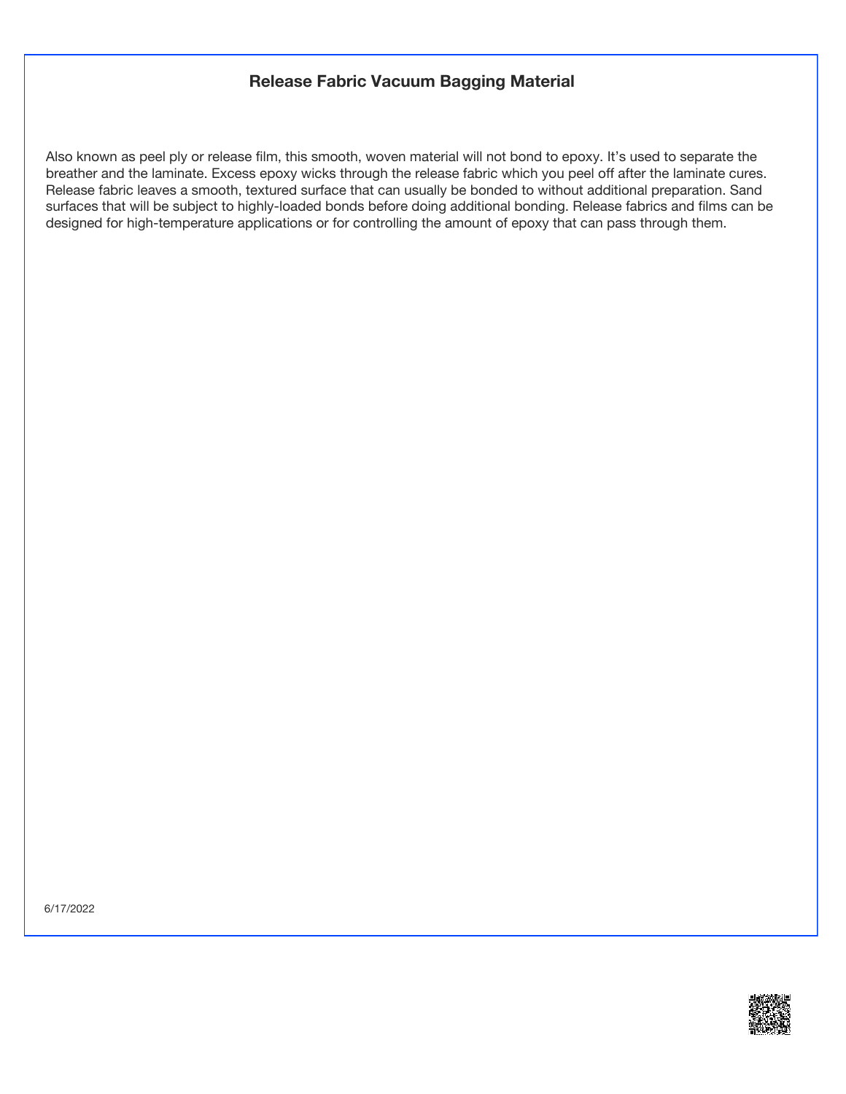#### **Release Fabric Vacuum Bagging Material**

Also known as peel ply or release film, this smooth, woven material will not bond to epoxy. It's used to separate the breather and the laminate. Excess epoxy wicks through the release fabric which you peel off after the laminate cures. Release fabric leaves a smooth, textured surface that can usually be bonded to without additional preparation. Sand surfaces that will be subject to highly-loaded bonds before doing additional bonding. Release fabrics and films can be designed for high-temperature applications or for controlling the amount of epoxy that can pass through them.

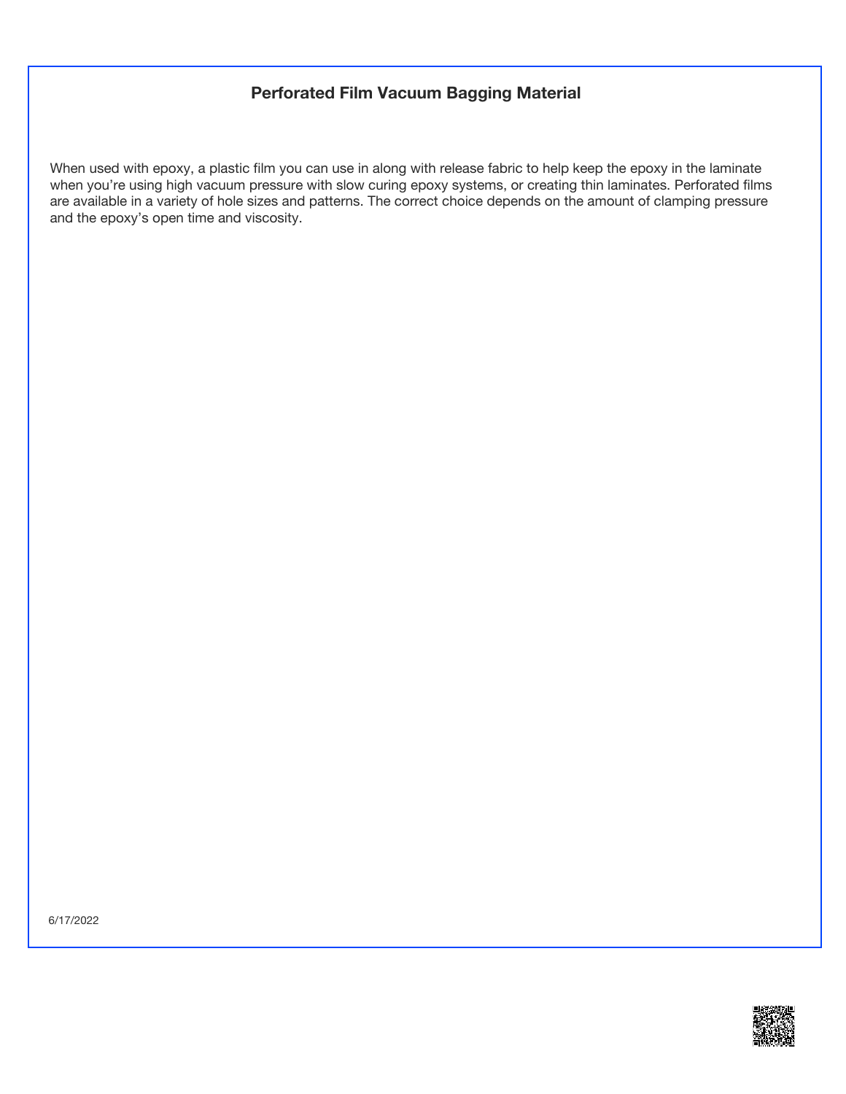# **Perforated Film Vacuum Bagging Material**

When used with epoxy, a plastic film you can use in along with release fabric to help keep the epoxy in the laminate when you're using high vacuum pressure with slow curing epoxy systems, or creating thin laminates. Perforated films are available in a variety of hole sizes and patterns. The correct choice depends on the amount of clamping pressure and the epoxy's open time and viscosity.

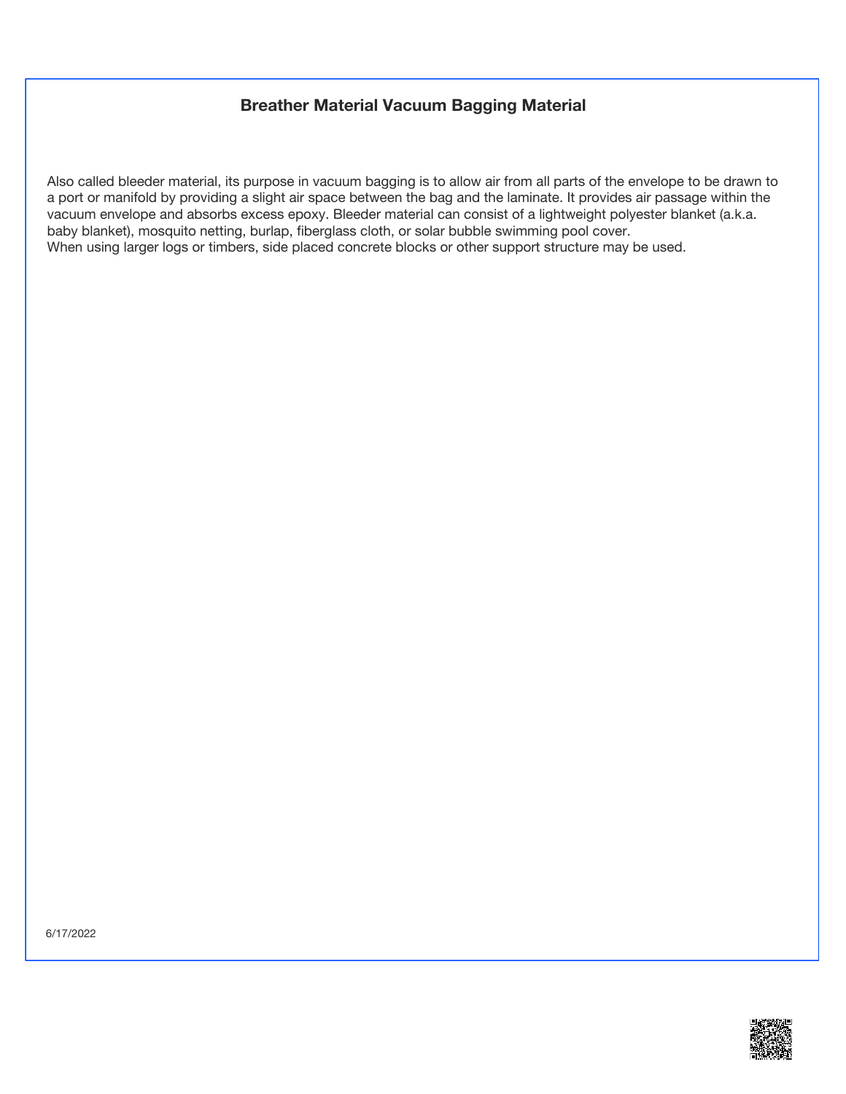## **Breather Material Vacuum Bagging Material**

Also called bleeder material, its purpose in vacuum bagging is to allow air from all parts of the envelope to be drawn to a port or manifold by providing a slight air space between the bag and the laminate. It provides air passage within the vacuum envelope and absorbs excess epoxy. Bleeder material can consist of a lightweight polyester blanket (a.k.a. baby blanket), mosquito netting, burlap, fiberglass cloth, or solar bubble swimming pool cover. When using larger logs or timbers, side placed concrete blocks or other support structure may be used.

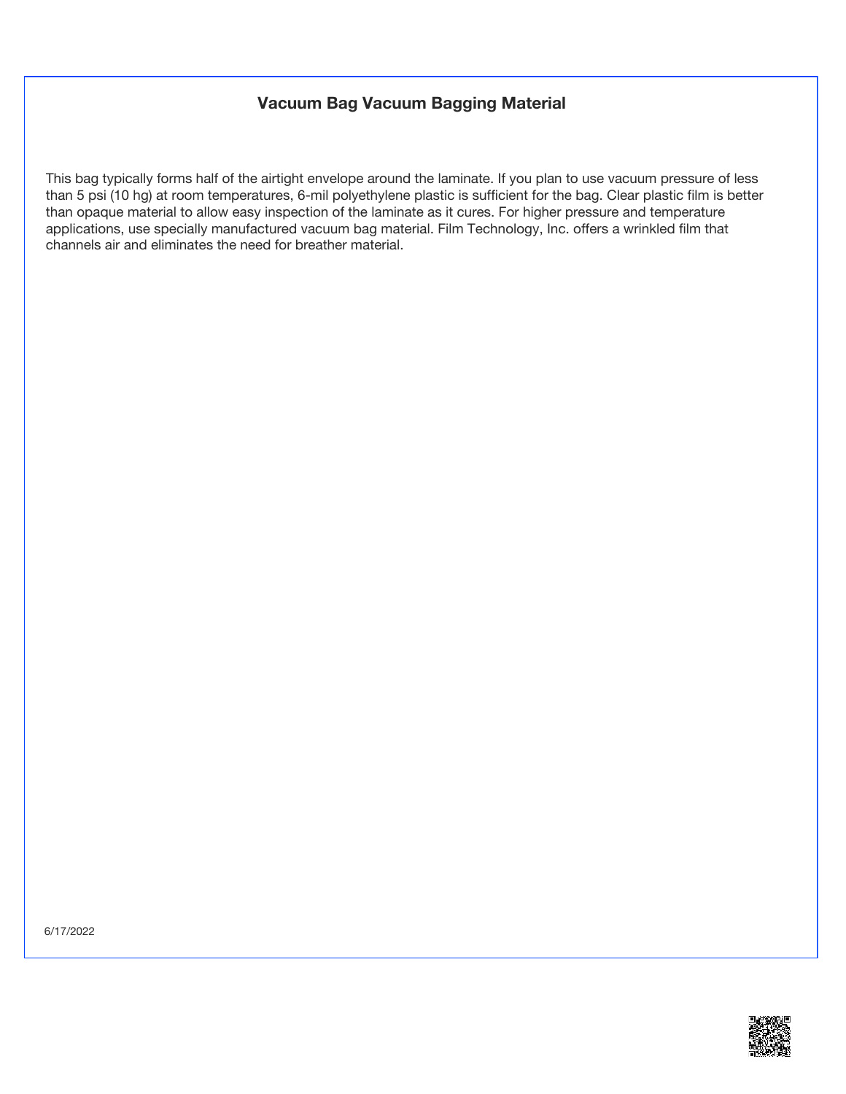## **Vacuum Bag Vacuum Bagging Material**

This bag typically forms half of the airtight envelope around the laminate. If you plan to use vacuum pressure of less than 5 psi (10 hg) at room temperatures, 6-mil polyethylene plastic is sufficient for the bag. Clear plastic film is better than opaque material to allow easy inspection of the laminate as it cures. For higher pressure and temperature applications, use specially manufactured vacuum bag material. Film Technology, Inc. offers a wrinkled film that channels air and eliminates the need for breather material.

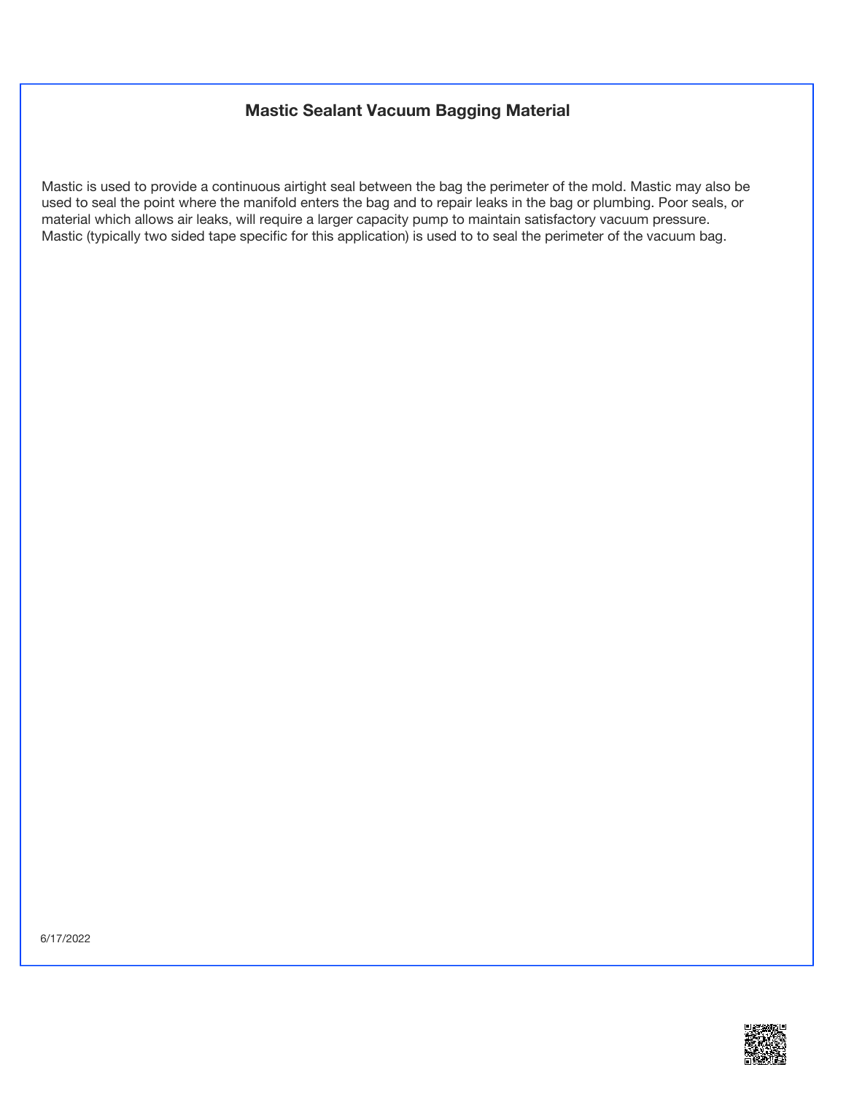# **Mastic Sealant Vacuum Bagging Material**

Mastic is used to provide a continuous airtight seal between the bag the perimeter of the mold. Mastic may also be used to seal the point where the manifold enters the bag and to repair leaks in the bag or plumbing. Poor seals, or material which allows air leaks, will require a larger capacity pump to maintain satisfactory vacuum pressure. Mastic (typically two sided tape specific for this application) is used to to seal the perimeter of the vacuum bag.

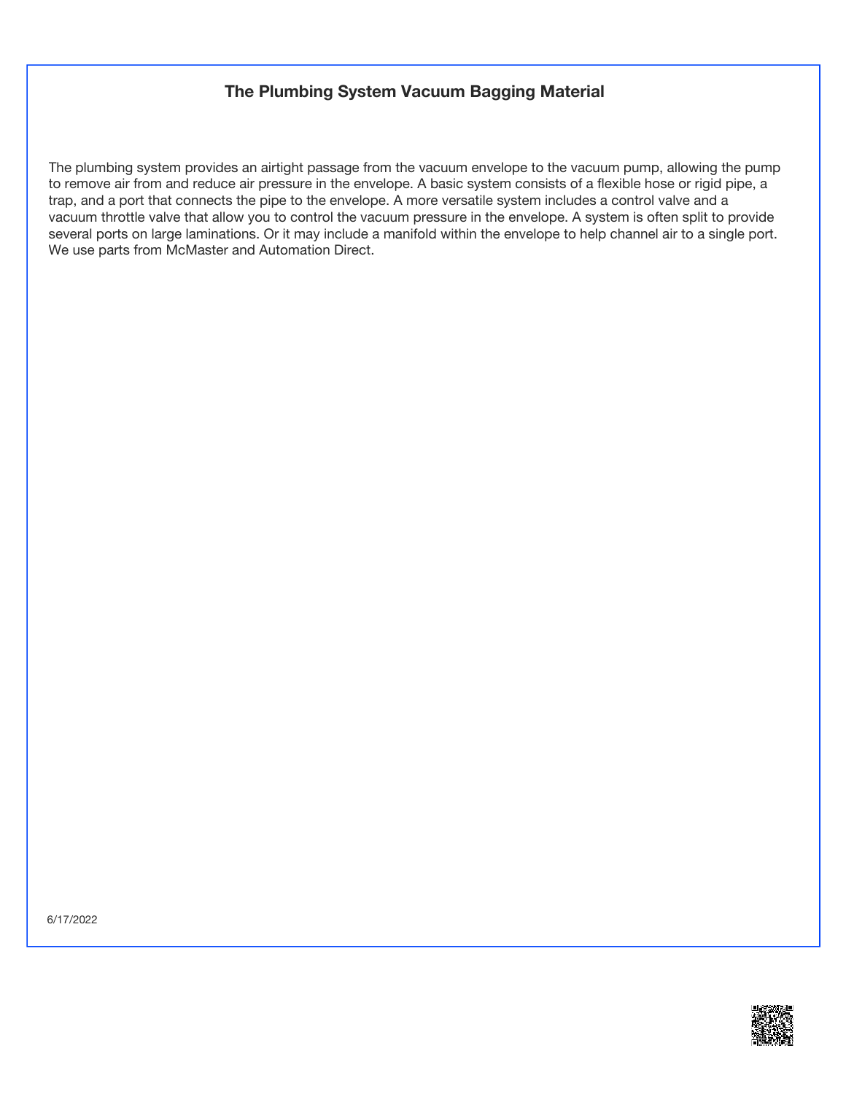## **The Plumbing System Vacuum Bagging Material**

The plumbing system provides an airtight passage from the vacuum envelope to the vacuum pump, allowing the pump to remove air from and reduce air pressure in the envelope. A basic system consists of a flexible hose or rigid pipe, a trap, and a port that connects the pipe to the envelope. A more versatile system includes a control valve and a vacuum throttle valve that allow you to control the vacuum pressure in the envelope. A system is often split to provide several ports on large laminations. Or it may include a manifold within the envelope to help channel air to a single port. We use parts from McMaster and Automation Direct.

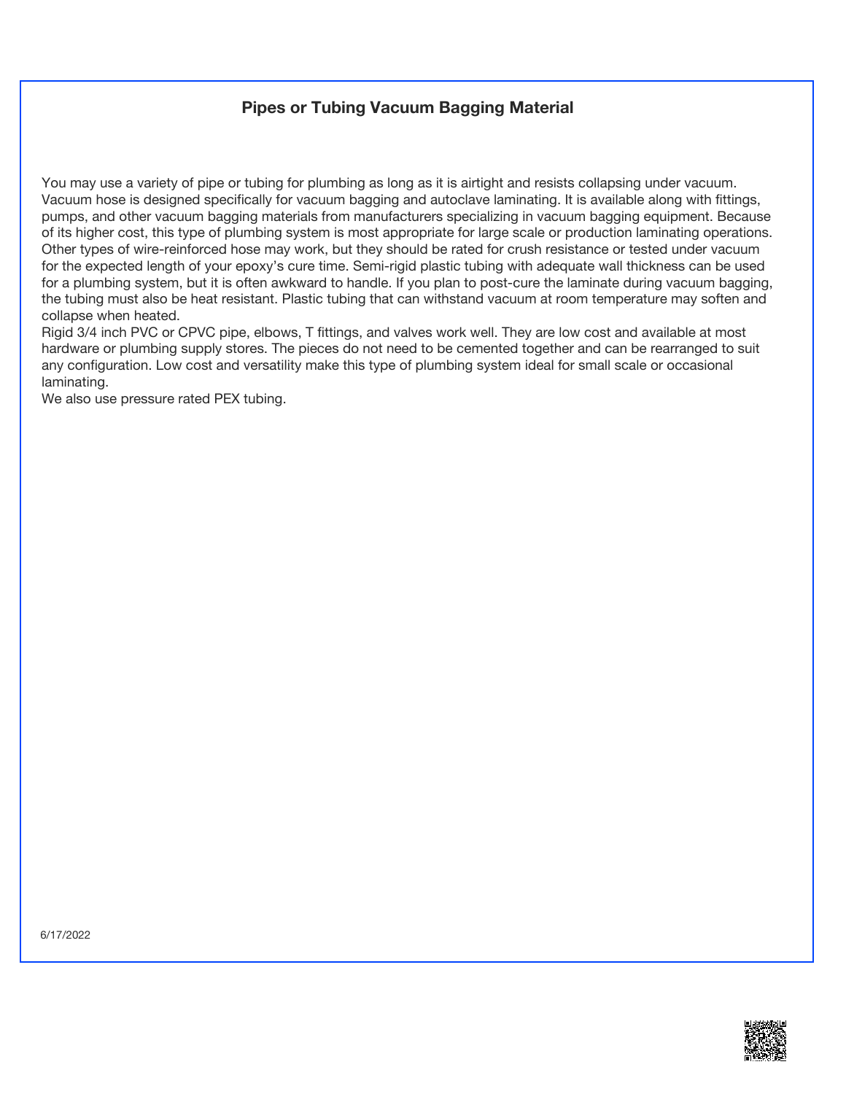## **Pipes or Tubing Vacuum Bagging Material**

You may use a variety of pipe or tubing for plumbing as long as it is airtight and resists collapsing under vacuum. Vacuum hose is designed specifically for vacuum bagging and autoclave laminating. It is available along with fittings, pumps, and other vacuum bagging materials from manufacturers specializing in vacuum bagging equipment. Because of its higher cost, this type of plumbing system is most appropriate for large scale or production laminating operations. Other types of wire-reinforced hose may work, but they should be rated for crush resistance or tested under vacuum for the expected length of your epoxy's cure time. Semi-rigid plastic tubing with adequate wall thickness can be used for a plumbing system, but it is often awkward to handle. If you plan to post-cure the laminate during vacuum bagging, the tubing must also be heat resistant. Plastic tubing that can withstand vacuum at room temperature may soften and collapse when heated.

Rigid 3/4 inch PVC or CPVC pipe, elbows, T fittings, and valves work well. They are low cost and available at most hardware or plumbing supply stores. The pieces do not need to be cemented together and can be rearranged to suit any configuration. Low cost and versatility make this type of plumbing system ideal for small scale or occasional laminating.

We also use pressure rated PEX tubing.

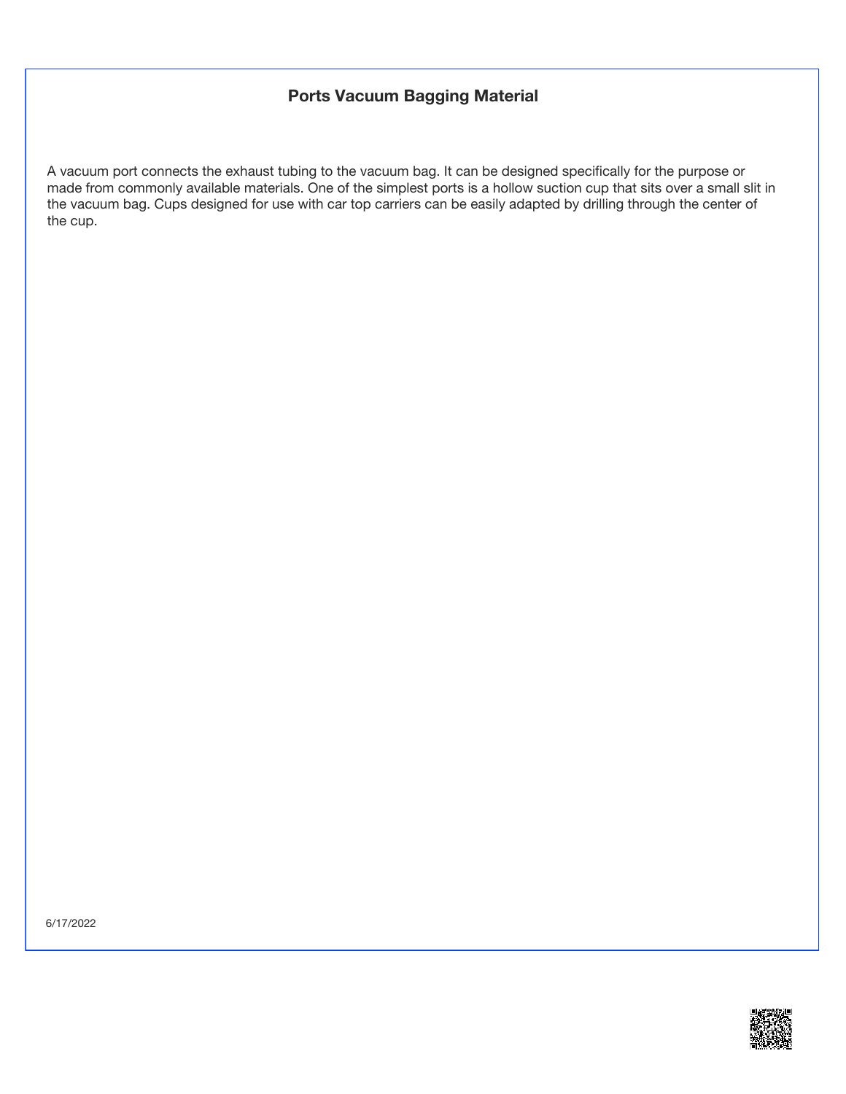## **Ports Vacuum Bagging Material**

A vacuum port connects the exhaust tubing to the vacuum bag. It can be designed specifically for the purpose or made from commonly available materials. One of the simplest ports is a hollow suction cup that sits over a small slit in the vacuum bag. Cups designed for use with car top carriers can be easily adapted by drilling through the center of the cup.

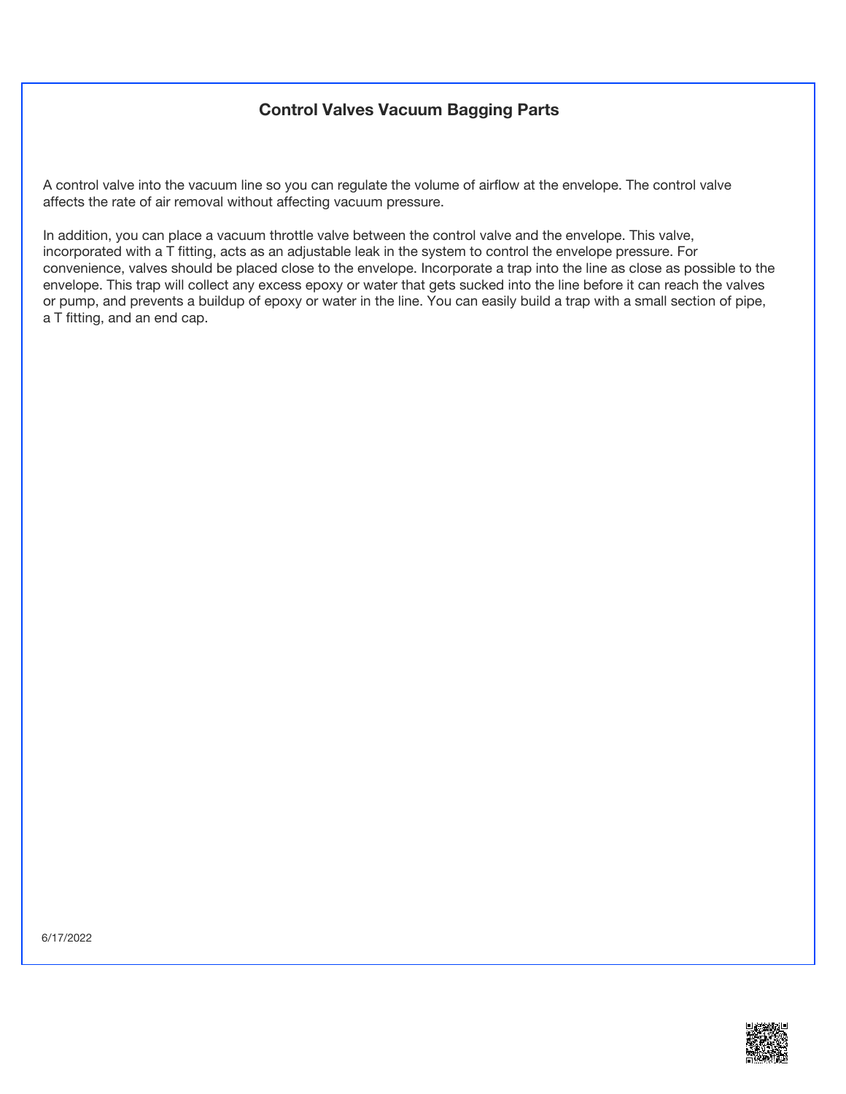# **Control Valves Vacuum Bagging Parts**

A control valve into the vacuum line so you can regulate the volume of airflow at the envelope. The control valve affects the rate of air removal without affecting vacuum pressure.

In addition, you can place a vacuum throttle valve between the control valve and the envelope. This valve, incorporated with a T fitting, acts as an adjustable leak in the system to control the envelope pressure. For convenience, valves should be placed close to the envelope. Incorporate a trap into the line as close as possible to the envelope. This trap will collect any excess epoxy or water that gets sucked into the line before it can reach the valves or pump, and prevents a buildup of epoxy or water in the line. You can easily build a trap with a small section of pipe, a T fitting, and an end cap.